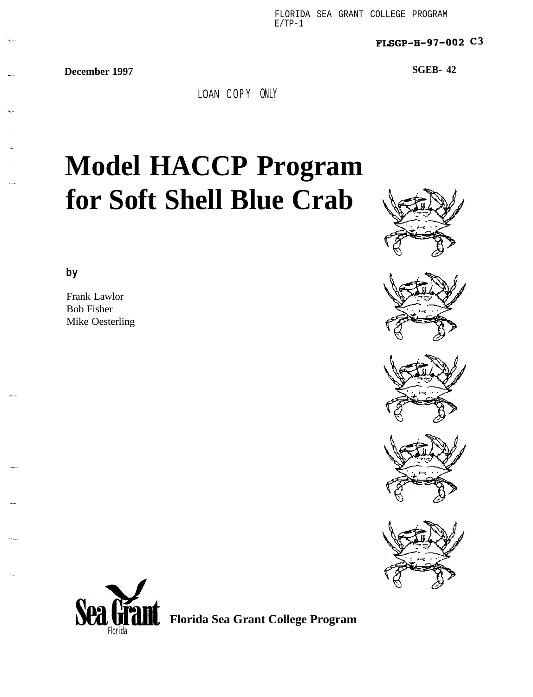FLORIDA SEA GRANT COLLEGE PROGRAM  $F/TP-1$ 

FuGP-H-97-002 **C3**

**December 1997 SGEB- 42**

LOAN COPY ONLY

# **Model HACCP Program for Soft Shell Blue Crab**













**Florida Sea Grant College Program**

**by**

Frank Lawlor Bob Fisher Mike Oesterling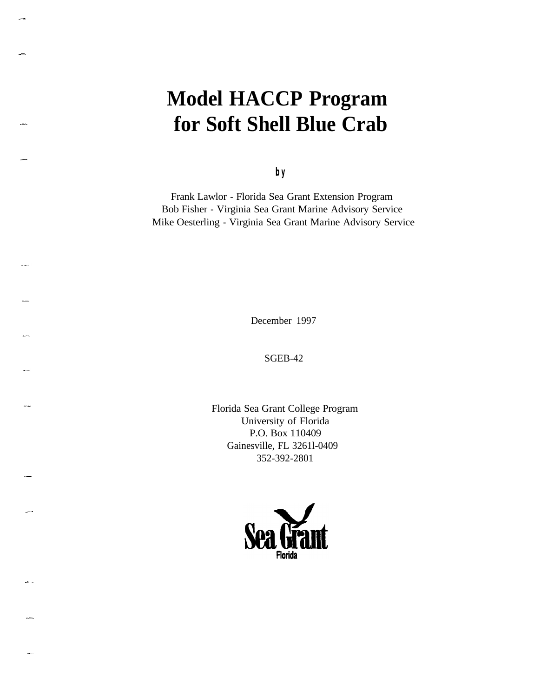## **Model HACCP Program for Soft Shell Blue Crab**

**by**

Frank Lawlor - Florida Sea Grant Extension Program Bob Fisher - Virginia Sea Grant Marine Advisory Service Mike Oesterling - Virginia Sea Grant Marine Advisory Service

December 1997

SGEB-42

Florida Sea Grant College Program University of Florida P.O. Box 110409 Gainesville, FL 3261l-0409 352-392-2801



-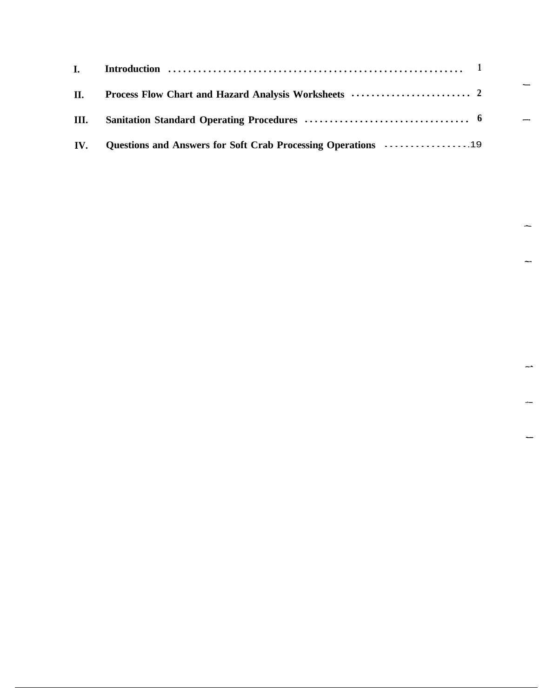| I. Introduction $\cdots$ $\cdots$ $\cdots$ $\cdots$ $\cdots$ $\cdots$ $\cdots$ $\cdots$ $\cdots$ $\cdots$ $\cdots$ $\cdots$ $\cdots$ $\cdots$ $\cdots$ $\cdots$ |  |
|-----------------------------------------------------------------------------------------------------------------------------------------------------------------|--|
|                                                                                                                                                                 |  |
|                                                                                                                                                                 |  |
| IV. Questions and Answers for Soft Crab Processing Operations 19                                                                                                |  |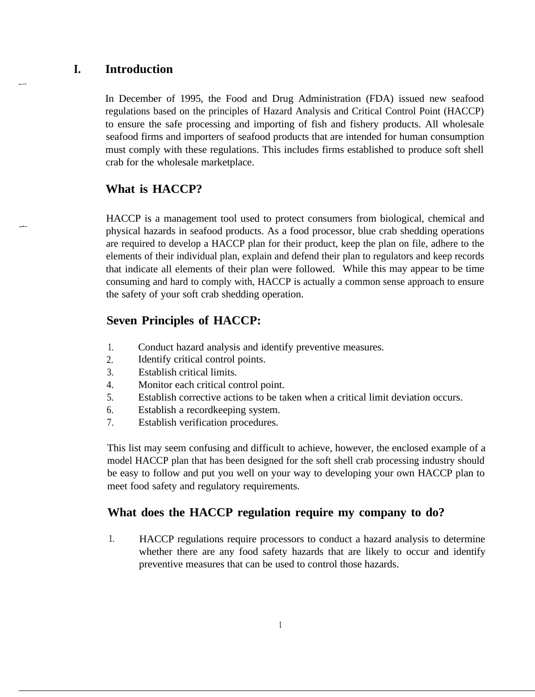### **I. Introduction**

In December of 1995, the Food and Drug Administration (FDA) issued new seafood regulations based on the principles of Hazard Analysis and Critical Control Point (HACCP) to ensure the safe processing and importing of fish and fishery products. All wholesale seafood firms and importers of seafood products that are intended for human consumption must comply with these regulations. This includes firms established to produce soft shell crab for the wholesale marketplace.

### **What is HACCP?**

HACCP is a management tool used to protect consumers from biological, chemical and physical hazards in seafood products. As a food processor, blue crab shedding operations are required to develop a HACCP plan for their product, keep the plan on file, adhere to the elements of their individual plan, explain and defend their plan to regulators and keep records that indicate all elements of their plan were followed. While this may appear to be time consuming and hard to comply with, HACCP is actually a common sense approach to ensure the safety of your soft crab shedding operation.

### **Seven Principles of HACCP:**

- 1. Conduct hazard analysis and identify preventive measures.
- 2. Identify critical control points.
- 3. Establish critical limits.
- 4. Monitor each critical control point.
- 5. Establish corrective actions to be taken when a critical limit deviation occurs.
- 6. Establish a recordkeeping system.
- 7. Establish verification procedures.

This list may seem confusing and difficult to achieve, however, the enclosed example of a model HACCP plan that has been designed for the soft shell crab processing industry should be easy to follow and put you well on your way to developing your own HACCP plan to meet food safety and regulatory requirements.

### **What does the HACCP regulation require my company to do?**

1. HACCP regulations require processors to conduct a hazard analysis to determine whether there are any food safety hazards that are likely to occur and identify preventive measures that can be used to control those hazards.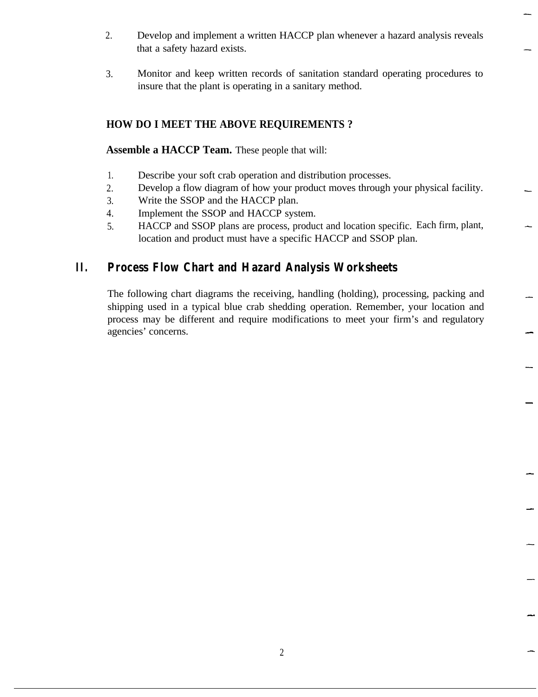- 2. Develop and implement a written HACCP plan whenever a hazard analysis reveals that a safety hazard exists.
- 3. Monitor and keep written records of sanitation standard operating procedures to insure that the plant is operating in a sanitary method.

### **HOW DO I MEET THE ABOVE REQUIREMENTS ?**

**Assemble a HACCP Team.** These people that will:

- 1. Describe your soft crab operation and distribution processes.
- 2. Develop a flow diagram of how your product moves through your physical facility.
- 3. Write the SSOP and the HACCP plan.
- 4. Implement the SSOP and HACCP system.
- 5. HACCP and SSOP plans are process, product and location specific. Each firm, plant, location and product must have a specific HACCP and SSOP plan.

### **II. Process Flow Chart and Hazard Analysis Worksheets**

The following chart diagrams the receiving, handling (holding), processing, packing and shipping used in a typical blue crab shedding operation. Remember, your location and process may be different and require modifications to meet your firm's and regulatory agencies' concerns.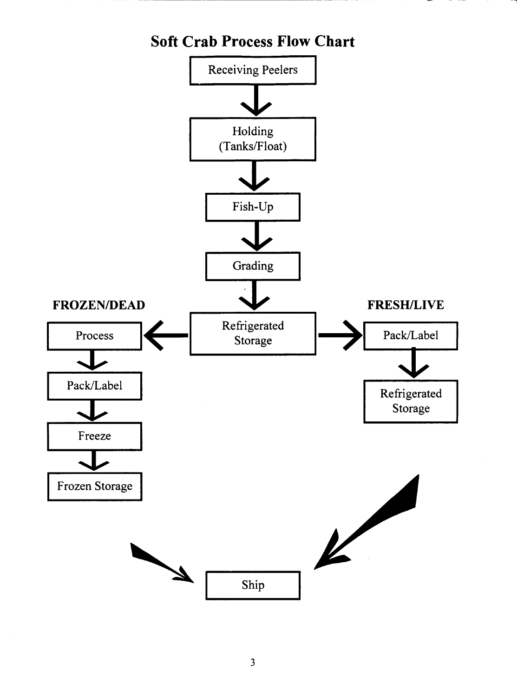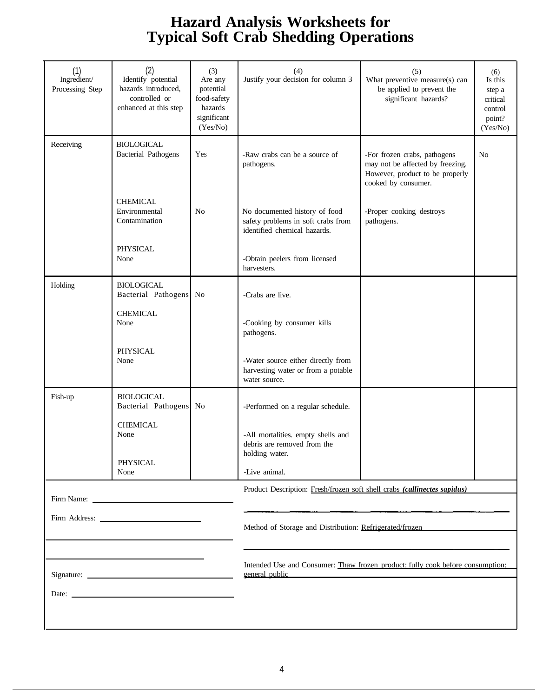### **Hazard Analysis Worksheets for Typical Soft Crab Shedding Operations**

| (1)<br>Ingredient/<br>Processing Step | (2)<br>Identify potential<br>hazards introduced,<br>controlled or<br>enhanced at this step | (3)<br>Are any<br>potential<br>food-safety<br>hazards<br>significant<br>(Yes/No) | (4)<br>Justify your decision for column 3                                                            | (5)<br>What preventive measure(s) can<br>be applied to prevent the<br>significant hazards?                                 | (6)<br>Is this<br>step a<br>critical<br>control<br>point?<br>(Yes/No) |  |  |
|---------------------------------------|--------------------------------------------------------------------------------------------|----------------------------------------------------------------------------------|------------------------------------------------------------------------------------------------------|----------------------------------------------------------------------------------------------------------------------------|-----------------------------------------------------------------------|--|--|
| Receiving                             | <b>BIOLOGICAL</b><br><b>Bacterial Pathogens</b>                                            | Yes                                                                              | -Raw crabs can be a source of<br>pathogens.                                                          | -For frozen crabs, pathogens<br>may not be affected by freezing.<br>However, product to be properly<br>cooked by consumer. | N <sub>o</sub>                                                        |  |  |
|                                       | <b>CHEMICAL</b><br>Environmental<br>Contamination                                          | No                                                                               | No documented history of food<br>safety problems in soft crabs from<br>identified chemical hazards.  | -Proper cooking destroys<br>pathogens.                                                                                     |                                                                       |  |  |
|                                       | <b>PHYSICAL</b><br>None                                                                    |                                                                                  | -Obtain peelers from licensed<br>harvesters.                                                         |                                                                                                                            |                                                                       |  |  |
| Holding                               | <b>BIOLOGICAL</b><br>Bacterial Pathogens No                                                |                                                                                  | -Crabs are live.                                                                                     |                                                                                                                            |                                                                       |  |  |
|                                       | <b>CHEMICAL</b><br>None                                                                    |                                                                                  | -Cooking by consumer kills<br>pathogens.                                                             |                                                                                                                            |                                                                       |  |  |
|                                       | PHYSICAL<br>None                                                                           |                                                                                  | -Water source either directly from<br>harvesting water or from a potable<br>water source.            |                                                                                                                            |                                                                       |  |  |
| Fish-up                               | <b>BIOLOGICAL</b><br>Bacterial Pathogens No                                                |                                                                                  | -Performed on a regular schedule.                                                                    |                                                                                                                            |                                                                       |  |  |
|                                       | <b>CHEMICAL</b><br>None<br>PHYSICAL<br>None                                                |                                                                                  | -All mortalities. empty shells and<br>debris are removed from the<br>holding water.<br>-Live animal. |                                                                                                                            |                                                                       |  |  |
|                                       |                                                                                            |                                                                                  | Product Description: Fresh/frozen soft shell crabs (callinectes sapidus)                             |                                                                                                                            |                                                                       |  |  |
|                                       |                                                                                            |                                                                                  |                                                                                                      |                                                                                                                            |                                                                       |  |  |
|                                       |                                                                                            |                                                                                  | Method of Storage and Distribution: Refrigerated/frozen                                              |                                                                                                                            |                                                                       |  |  |
|                                       |                                                                                            |                                                                                  |                                                                                                      |                                                                                                                            |                                                                       |  |  |
|                                       |                                                                                            |                                                                                  | Intended Use and Consumer: Thaw frozen product: fully cook before consumption:<br>general public     |                                                                                                                            |                                                                       |  |  |
|                                       |                                                                                            |                                                                                  |                                                                                                      |                                                                                                                            |                                                                       |  |  |
|                                       |                                                                                            |                                                                                  |                                                                                                      |                                                                                                                            |                                                                       |  |  |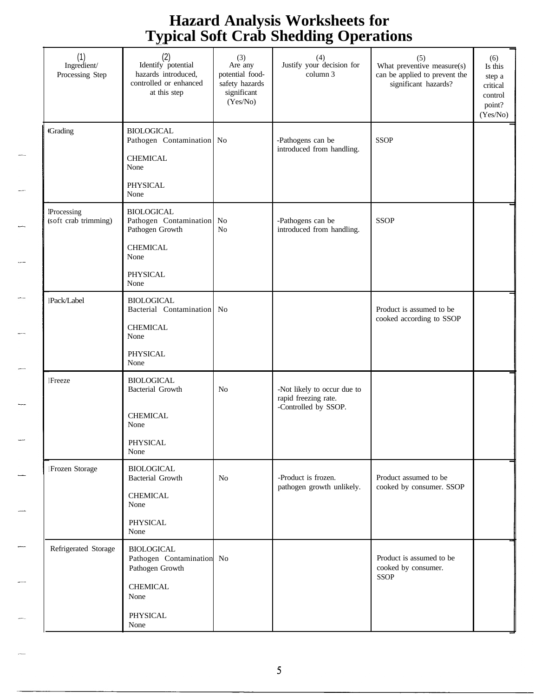### **Hazard Analysis Worksheets for Typical Soft Crab Shedding Operations** \_a

|                                           | $\mathbf{v}$ at                                                                                                  |                                                                                | ັ                                                                           |                                                                                              |                                                                       |
|-------------------------------------------|------------------------------------------------------------------------------------------------------------------|--------------------------------------------------------------------------------|-----------------------------------------------------------------------------|----------------------------------------------------------------------------------------------|-----------------------------------------------------------------------|
| (1)<br>Ingredient/<br>Processing Step     | (2)<br>Identify potential<br>hazards introduced,<br>controlled or enhanced<br>at this step                       | (3)<br>Are any<br>potential food-<br>safety hazards<br>significant<br>(Yes/No) | (4)<br>Justify your decision for<br>column 3                                | $(5)$<br>What preventive measure(s)<br>can be applied to prevent the<br>significant hazards? | (6)<br>Is this<br>step a<br>critical<br>control<br>point?<br>(Yes/No) |
| <b>Grading</b>                            | <b>BIOLOGICAL</b><br>Pathogen Contamination No<br><b>CHEMICAL</b><br>None<br>PHYSICAL<br>None                    |                                                                                | -Pathogens can be<br>introduced from handling.                              | <b>SSOP</b>                                                                                  |                                                                       |
| <b>Processing</b><br>(soft crab trimming) | <b>BIOLOGICAL</b><br>Pathogen Contamination No<br>Pathogen Growth<br><b>CHEMICAL</b><br>None<br>PHYSICAL<br>None | N <sub>o</sub>                                                                 | -Pathogens can be<br>introduced from handling.                              | <b>SSOP</b>                                                                                  |                                                                       |
| <b>Pack/Label</b>                         | <b>BIOLOGICAL</b><br>Bacterial Contamination No<br><b>CHEMICAL</b><br>None<br><b>PHYSICAL</b><br>None            |                                                                                |                                                                             | Product is assumed to be<br>cooked according to SSOP                                         |                                                                       |
| <b>lFreeze</b>                            | <b>BIOLOGICAL</b><br><b>Bacterial Growth</b><br><b>CHEMICAL</b><br>None<br>PHYSICAL<br>None                      | No                                                                             | -Not likely to occur due to<br>rapid freezing rate.<br>-Controlled by SSOP. |                                                                                              |                                                                       |
| !Frozen Storage                           | <b>BIOLOGICAL</b><br><b>Bacterial Growth</b><br><b>CHEMICAL</b><br>None<br>PHYSICAL<br>None                      | N <sub>o</sub>                                                                 | -Product is frozen.<br>pathogen growth unlikely.                            | Product assumed to be<br>cooked by consumer. SSOP                                            |                                                                       |
| Refrigerated Storage                      | <b>BIOLOGICAL</b><br>Pathogen Contamination No<br>Pathogen Growth<br><b>CHEMICAL</b><br>None<br>PHYSICAL<br>None |                                                                                |                                                                             | Product is assumed to be<br>cooked by consumer.<br><b>SSOP</b>                               |                                                                       |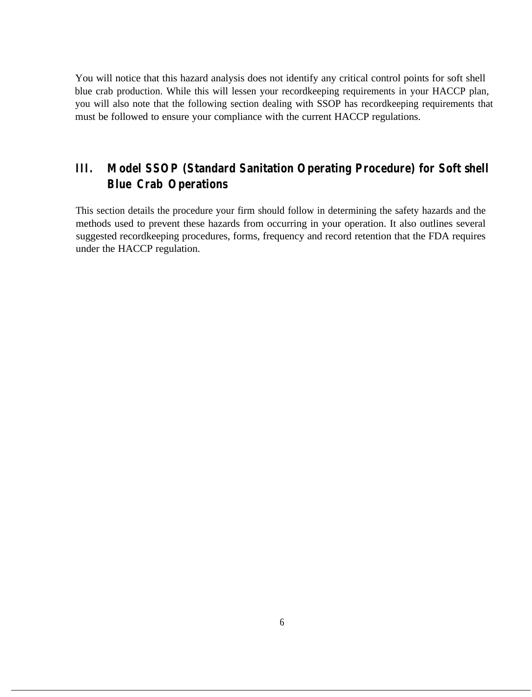You will notice that this hazard analysis does not identify any critical control points for soft shell blue crab production. While this will lessen your recordkeeping requirements in your HACCP plan, you will also note that the following section dealing with SSOP has recordkeeping requirements that must be followed to ensure your compliance with the current HACCP regulations.

### **III. Model SSOP (Standard Sanitation Operating Procedure) for Soft shell Blue Crab Operations**

This section details the procedure your firm should follow in determining the safety hazards and the methods used to prevent these hazards from occurring in your operation. It also outlines several suggested recordkeeping procedures, forms, frequency and record retention that the FDA requires under the HACCP regulation.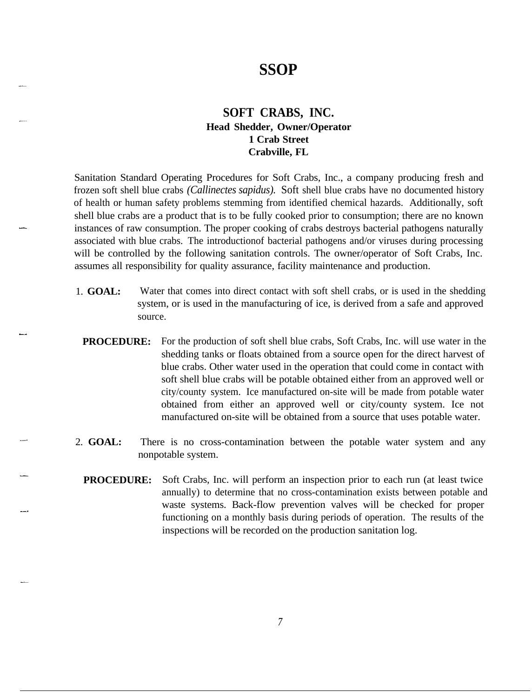# **SSOP**

#### **SOFT CRABS, INC. Head Shedder, Owner/Operator 1 Crab Street Crabville, FL**

Sanitation Standard Operating Procedures for Soft Crabs, Inc., a company producing fresh and frozen soft shell blue crabs *(Callinectes sapidus).* Soft shell blue crabs have no documented history of health or human safety problems stemming from identified chemical hazards. Additionally, soft shell blue crabs are a product that is to be fully cooked prior to consumption; there are no known instances of raw consumption. The proper cooking of crabs destroys bacterial pathogens naturally associated with blue crabs. The introductionof bacterial pathogens and/or viruses during processing will be controlled by the following sanitation controls. The owner/operator of Soft Crabs, Inc. assumes all responsibility for quality assurance, facility maintenance and production.

- 1. **GOAL:** Water that comes into direct contact with soft shell crabs, or is used in the shedding system, or is used in the manufacturing of ice, is derived from a safe and approved source.
- **PROCEDURE:** For the production of soft shell blue crabs, Soft Crabs, Inc. will use water in the shedding tanks or floats obtained from a source open for the direct harvest of blue crabs. Other water used in the operation that could come in contact with soft shell blue crabs will be potable obtained either from an approved well or city/county system. Ice manufactured on-site will be made from potable water obtained from either an approved well or city/county system. Ice not manufactured on-site will be obtained from a source that uses potable water.
- 2. **GOAL:** There is no cross-contamination between the potable water system and any nonpotable system.
	- **PROCEDURE:** Soft Crabs, Inc. will perform an inspection prior to each run (at least twice annually) to determine that no cross-contamination exists between potable and waste systems. Back-flow prevention valves will be checked for proper functioning on a monthly basis during periods of operation. The results of the inspections will be recorded on the production sanitation log.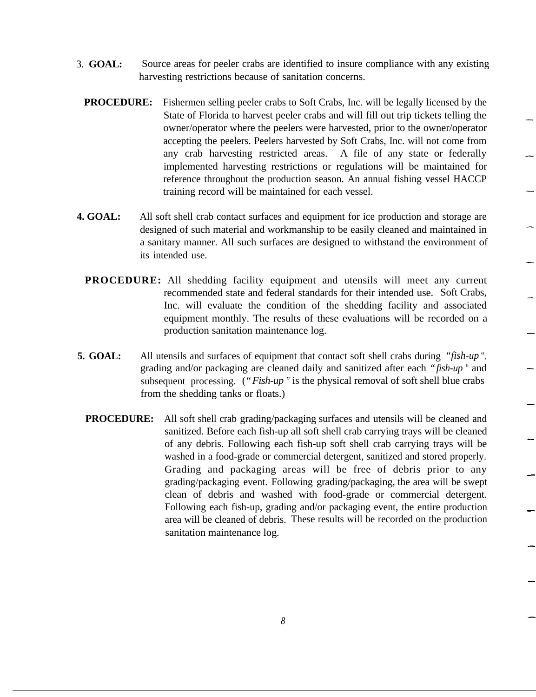- 3. **GOAL:** Source areas for peeler crabs are identified to insure compliance with any existing harvesting restrictions because of sanitation concerns.
	- **PROCEDURE:** Fishermen selling peeler crabs to Soft Crabs, Inc. will be legally licensed by the State of Florida to harvest peeler crabs and will fill out trip tickets telling the owner/operator where the peelers were harvested, prior to the owner/operator accepting the peelers. Peelers harvested by Soft Crabs, Inc. will not come from any crab harvesting restricted areas. A file of any state or federally implemented harvesting restrictions or regulations will be maintained for reference throughout the production season. An annual fishing vessel HACCP training record will be maintained for each vessel.
- **4. GOAL:** All soft shell crab contact surfaces and equipment for ice production and storage are designed of such material and workmanship to be easily cleaned and maintained in a sanitary manner. All such surfaces are designed to withstand the environment of its intended use.
	- **PROCEDURE:** All shedding facility equipment and utensils will meet any current recommended state and federal standards for their intended use. Soft Crabs, Inc. will evaluate the condition of the shedding facility and associated equipment monthly. The results of these evaluations will be recorded on a production sanitation maintenance log.
- **5. GOAL:** All utensils and surfaces of equipment that contact soft shell crabs during *"fish-up ",* grading and/or packaging are cleaned daily and sanitized after each *"fish-up "* and subsequent processing. (*"Fish-up "* is the physical removal of soft shell blue crabs from the shedding tanks or floats.)
	- **PROCEDURE:** All soft shell crab grading/packaging surfaces and utensils will be cleaned and sanitized. Before each fish-up all soft shell crab carrying trays will be cleaned of any debris. Following each fish-up soft shell crab carrying trays will be washed in a food-grade or commercial detergent, sanitized and stored properly. Grading and packaging areas will be free of debris prior to any grading/packaging event. Following grading/packaging, the area will be swept clean of debris and washed with food-grade or commercial detergent. Following each fish-up, grading and/or packaging event, the entire production area will be cleaned of debris. These results will be recorded on the production sanitation maintenance log.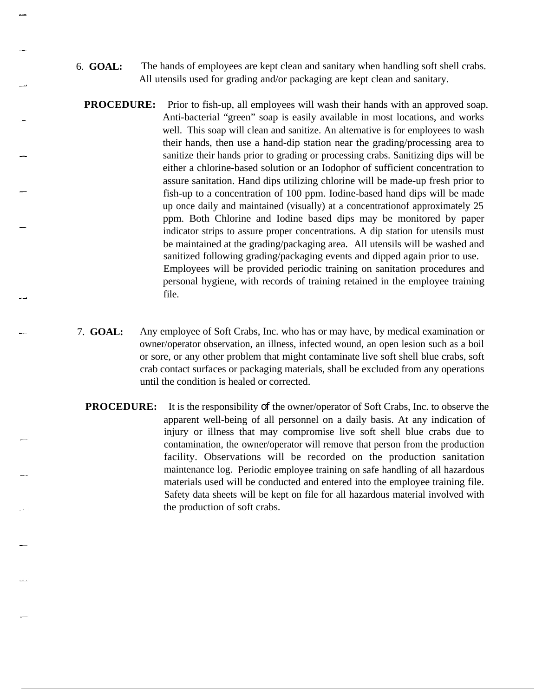- 6. **GOAL:** The hands of employees are kept clean and sanitary when handling soft shell crabs. All utensils used for grading and/or packaging are kept clean and sanitary.
- **PROCEDURE:** Prior to fish-up, all employees will wash their hands with an approved soap. Anti-bacterial "green" soap is easily available in most locations, and works well. This soap will clean and sanitize. An alternative is for employees to wash their hands, then use a hand-dip station near the grading/processing area to sanitize their hands prior to grading or processing crabs. Sanitizing dips will be either a chlorine-based solution or an Iodophor of sufficient concentration to assure sanitation. Hand dips utilizing chlorine will be made-up fresh prior to fish-up to a concentration of 100 ppm. Iodine-based hand dips will be made up once daily and maintained (visually) at a concentrationof approximately 25 ppm. Both Chlorine and Iodine based dips may be monitored by paper indicator strips to assure proper concentrations. A dip station for utensils must be maintained at the grading/packaging area. All utensils will be washed and sanitized following grading/packaging events and dipped again prior to use. Employees will be provided periodic training on sanitation procedures and personal hygiene, with records of training retained in the employee training file.
- 7. **GOAL:** Any employee of Soft Crabs, Inc. who has or may have, by medical examination or owner/operator observation, an illness, infected wound, an open lesion such as a boil or sore, or any other problem that might contaminate live soft shell blue crabs, soft crab contact surfaces or packaging materials, shall be excluded from any operations until the condition is healed or corrected.
	- **PROCEDURE:** It is the responsibility of the owner/operator of Soft Crabs, Inc. to observe the apparent well-being of all personnel on a daily basis. At any indication of injury or illness that may compromise live soft shell blue crabs due to contamination, the owner/operator will remove that person from the production facility. Observations will be recorded on the production sanitation maintenance log. Periodic employee training on safe handling of all hazardous materials used will be conducted and entered into the employee training file. Safety data sheets will be kept on file for all hazardous material involved with the production of soft crabs.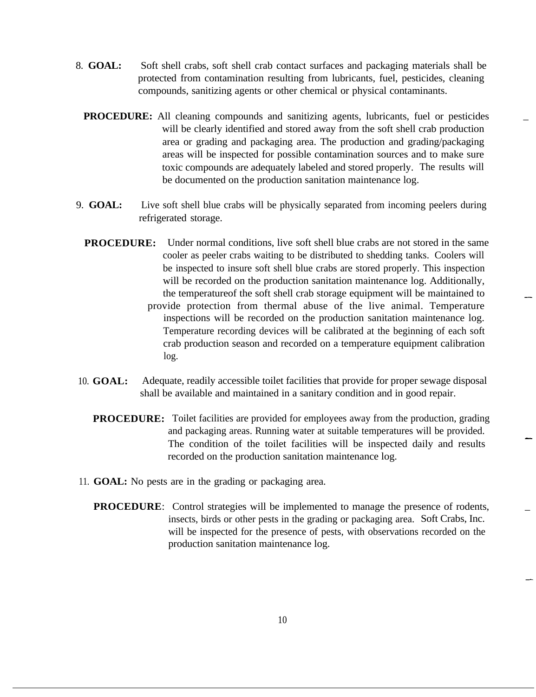- 8. **GOAL:** Soft shell crabs, soft shell crab contact surfaces and packaging materials shall be protected from contamination resulting from lubricants, fuel, pesticides, cleaning compounds, sanitizing agents or other chemical or physical contaminants.
	- **PROCEDURE:** All cleaning compounds and sanitizing agents, lubricants, fuel or pesticides will be clearly identified and stored away from the soft shell crab production area or grading and packaging area. The production and grading/packaging areas will be inspected for possible contamination sources and to make sure toxic compounds are adequately labeled and stored properly. The results will be documented on the production sanitation maintenance log.
- 9. **GOAL:** Live soft shell blue crabs will be physically separated from incoming peelers during refrigerated storage.
	- **PROCEDURE:** Under normal conditions, live soft shell blue crabs are not stored in the same cooler as peeler crabs waiting to be distributed to shedding tanks. Coolers will be inspected to insure soft shell blue crabs are stored properly. This inspection will be recorded on the production sanitation maintenance log. Additionally, the temperatureof the soft shell crab storage equipment will be maintained to provide protection from thermal abuse of the live animal. Temperature inspections will be recorded on the production sanitation maintenance log. Temperature recording devices will be calibrated at the beginning of each soft crab production season and recorded on a temperature equipment calibration log.
- 10. **GOAL:** Adequate, readily accessible toilet facilities that provide for proper sewage disposal shall be available and maintained in a sanitary condition and in good repair.
	- **PROCEDURE:** Toilet facilities are provided for employees away from the production, grading and packaging areas. Running water at suitable temperatures will be provided. The condition of the toilet facilities will be inspected daily and results recorded on the production sanitation maintenance log.
- 11. **GOAL:** No pests are in the grading or packaging area.
	- **PROCEDURE:** Control strategies will be implemented to manage the presence of rodents, insects, birds or other pests in the grading or packaging area. Soft Crabs, Inc. will be inspected for the presence of pests, with observations recorded on the production sanitation maintenance log.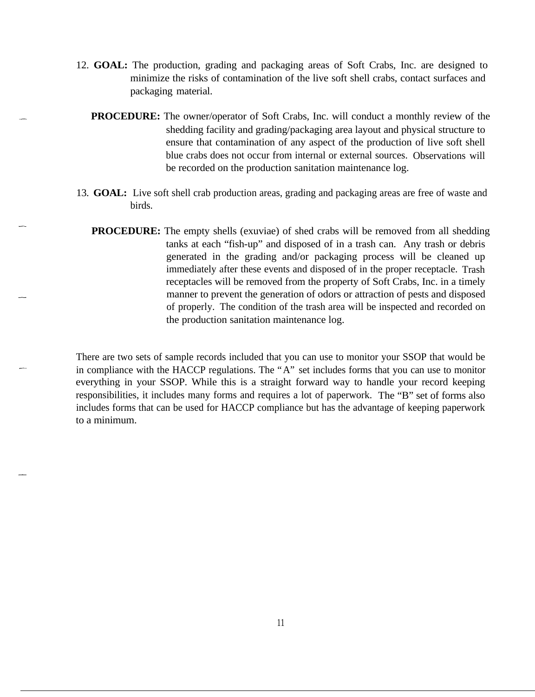- 12. **GOAL:** The production, grading and packaging areas of Soft Crabs, Inc. are designed to minimize the risks of contamination of the live soft shell crabs, contact surfaces and packaging material.
	- **PROCEDURE:** The owner/operator of Soft Crabs, Inc. will conduct a monthly review of the shedding facility and grading/packaging area layout and physical structure to ensure that contamination of any aspect of the production of live soft shell blue crabs does not occur from internal or external sources. Observations will be recorded on the production sanitation maintenance log.
- 13. **GOAL:** Live soft shell crab production areas, grading and packaging areas are free of waste and birds.
	- **PROCEDURE:** The empty shells (exuviae) of shed crabs will be removed from all shedding tanks at each "fish-up" and disposed of in a trash can. Any trash or debris generated in the grading and/or packaging process will be cleaned up immediately after these events and disposed of in the proper receptacle. Trash receptacles will be removed from the property of Soft Crabs, Inc. in a timely manner to prevent the generation of odors or attraction of pests and disposed of properly. The condition of the trash area will be inspected and recorded on the production sanitation maintenance log.

There are two sets of sample records included that you can use to monitor your SSOP that would be in compliance with the HACCP regulations. The "A" set includes forms that you can use to monitor everything in your SSOP. While this is a straight forward way to handle your record keeping responsibilities, it includes many forms and requires a lot of paperwork. The "B" set of forms also includes forms that can be used for HACCP compliance but has the advantage of keeping paperwork to a minimum.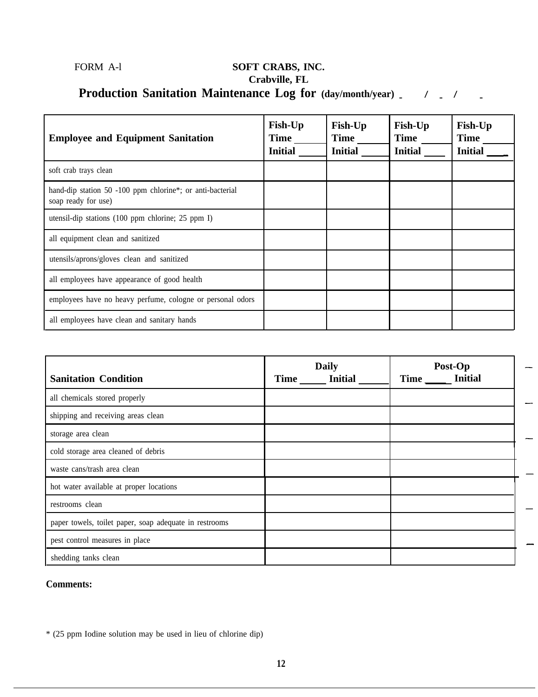### FORM A-l **SOFT CRABS, INC. Crabville, FL Production Sanitation Maintenance Log for (day/month/year) / / - - -**

| <b>Employee and Equipment Sanitation</b>                                         | <b>Fish-Up</b><br><b>Time</b><br><b>Initial</b> | <b>Fish-Up</b><br>Time<br><b>Initial</b> | <b>Fish-Up</b><br><b>Time</b><br><b>Initial</b> | <b>Fish-Up</b><br><b>Time</b><br><b>Initial</b> |
|----------------------------------------------------------------------------------|-------------------------------------------------|------------------------------------------|-------------------------------------------------|-------------------------------------------------|
| soft crab trays clean                                                            |                                                 |                                          |                                                 |                                                 |
| hand-dip station 50 -100 ppm chlorine*; or anti-bacterial<br>soap ready for use) |                                                 |                                          |                                                 |                                                 |
| utensil-dip stations $(100$ ppm chlorine; 25 ppm I)                              |                                                 |                                          |                                                 |                                                 |
| all equipment clean and sanitized                                                |                                                 |                                          |                                                 |                                                 |
| utensils/aprons/gloves clean and sanitized                                       |                                                 |                                          |                                                 |                                                 |
| all employees have appearance of good health                                     |                                                 |                                          |                                                 |                                                 |
| employees have no heavy perfume, cologne or personal odors                       |                                                 |                                          |                                                 |                                                 |
| all employees have clean and sanitary hands                                      |                                                 |                                          |                                                 |                                                 |

| <b>Sanitation Condition</b>                            | <b>Daily</b><br><b>Initial</b><br><b>Time</b> | Post-Op<br>Time _____ Initial |
|--------------------------------------------------------|-----------------------------------------------|-------------------------------|
| all chemicals stored properly                          |                                               |                               |
| shipping and receiving areas clean                     |                                               |                               |
| storage area clean                                     |                                               |                               |
| cold storage area cleaned of debris                    |                                               |                               |
| waste cans/trash area clean                            |                                               |                               |
| hot water available at proper locations                |                                               |                               |
| restrooms clean                                        |                                               |                               |
| paper towels, toilet paper, soap adequate in restrooms |                                               |                               |
| pest control measures in place                         |                                               |                               |
| shedding tanks clean                                   |                                               |                               |

#### **Comments:**

\* (25 ppm Iodine solution may be used in lieu of chlorine dip)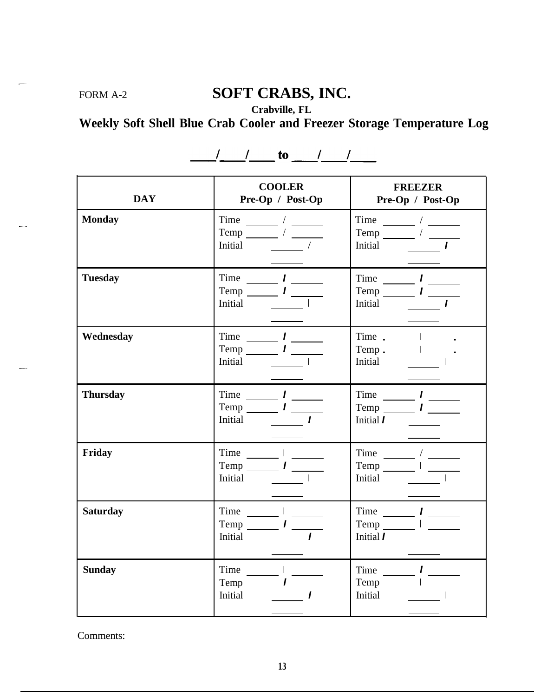### FORM A-2 **SOFT CRABS, INC.**

**Crabville, FL**

**Weekly Soft Shell Blue Crab Cooler and Freezer Storage Temperature Log**

| <b>DAY</b>      | <b>COOLER</b><br>Pre-Op / Post-Op                                                                                                                                                                                                                                                                                                                                                                                                                                                                                                                                                              | <b>FREEZER</b><br>Pre-Op / Post-Op                                                                                                                                                                                                                                                                                                                                                                                                                                                                                                                                                                                                                                                                                                                                                                                                                                         |
|-----------------|------------------------------------------------------------------------------------------------------------------------------------------------------------------------------------------------------------------------------------------------------------------------------------------------------------------------------------------------------------------------------------------------------------------------------------------------------------------------------------------------------------------------------------------------------------------------------------------------|----------------------------------------------------------------------------------------------------------------------------------------------------------------------------------------------------------------------------------------------------------------------------------------------------------------------------------------------------------------------------------------------------------------------------------------------------------------------------------------------------------------------------------------------------------------------------------------------------------------------------------------------------------------------------------------------------------------------------------------------------------------------------------------------------------------------------------------------------------------------------|
| <b>Monday</b>   | Time $\frac{1}{\sqrt{1-\frac{1}{2}}}\sqrt{1-\frac{1}{2}}$<br>Temp $\frac{1}{\sqrt{1-\frac{1}{2}}}\sqrt{1-\frac{1}{2}}$<br>Initial                                                                                                                                                                                                                                                                                                                                                                                                                                                              | Temp $\frac{1}{\sqrt{1-\frac{1}{2}}}\frac{1}{\sqrt{1-\frac{1}{2}}\sqrt{1-\frac{1}{2}}\left(\frac{1}{2}-\frac{1}{2}\right)}$<br>Initial                                                                                                                                                                                                                                                                                                                                                                                                                                                                                                                                                                                                                                                                                                                                     |
| <b>Tuesday</b>  | Time $\frac{1}{\sqrt{1-\frac{1}{2}}}\frac{1}{\sqrt{1-\frac{1}{2}}\sqrt{1-\frac{1}{2}}\sqrt{1-\frac{1}{2}}\sqrt{1-\frac{1}{2}}\sqrt{1-\frac{1}{2}}\sqrt{1-\frac{1}{2}}\sqrt{1-\frac{1}{2}}\sqrt{1-\frac{1}{2}}\sqrt{1-\frac{1}{2}}\sqrt{1-\frac{1}{2}}\sqrt{1-\frac{1}{2}}\sqrt{1-\frac{1}{2}}\sqrt{1-\frac{1}{2}}\sqrt{1-\frac{1}{2}}\sqrt{1-\frac{1}{2}}\sqrt{1-\frac{1}{2}}\sqrt{1-\frac{1}{2}}\sqrt{1-\frac{$<br>$Temp$ $I$ $I$<br>Initial                                                                                                                                                  | Time $\frac{1}{\sqrt{1-\frac{1}{2}}}\frac{1}{\sqrt{1-\frac{1}{2}}\sqrt{1-\frac{1}{2}}\sqrt{1-\frac{1}{2}}\sqrt{1-\frac{1}{2}}\sqrt{1-\frac{1}{2}}\sqrt{1-\frac{1}{2}}\sqrt{1-\frac{1}{2}}\sqrt{1-\frac{1}{2}}\sqrt{1-\frac{1}{2}}\sqrt{1-\frac{1}{2}}\sqrt{1-\frac{1}{2}}\sqrt{1-\frac{1}{2}}\sqrt{1-\frac{1}{2}}\sqrt{1-\frac{1}{2}}\sqrt{1-\frac{1}{2}}\sqrt{1-\frac{1}{2}}\sqrt{1-\frac{1}{2}}\sqrt{1-\frac{$<br>$Temp$ $I$<br>Initial                                                                                                                                                                                                                                                                                                                                                                                                                                  |
| Wednesday       | $Time$ $I$<br>$Temp$ $I$<br>Initial<br>$\mathcal{L}^{\text{max}}_{\text{max}}$<br>$\mathbf{I}$                                                                                                                                                                                                                                                                                                                                                                                                                                                                                                 | Time I<br>Temp I<br>Initial I                                                                                                                                                                                                                                                                                                                                                                                                                                                                                                                                                                                                                                                                                                                                                                                                                                              |
| <b>Thursday</b> | Time $\frac{1}{\sqrt{1-\frac{1}{2}}}\frac{1}{\sqrt{1-\frac{1}{2}}}\frac{1}{\sqrt{1-\frac{1}{2}}}\frac{1}{\sqrt{1-\frac{1}{2}}}\frac{1}{\sqrt{1-\frac{1}{2}}}\frac{1}{\sqrt{1-\frac{1}{2}}}\frac{1}{\sqrt{1-\frac{1}{2}}}\frac{1}{\sqrt{1-\frac{1}{2}}}\frac{1}{\sqrt{1-\frac{1}{2}}}\frac{1}{\sqrt{1-\frac{1}{2}}}\frac{1}{\sqrt{1-\frac{1}{2}}}\frac{1}{\sqrt{1-\frac{1}{2}}}\frac{1}{\sqrt{1-\frac{1}{2}}}\frac{1}{\sqrt$<br>Temp $\frac{1}{\sqrt{1-\frac{1}{2}}}\frac{1}{\sqrt{1-\frac{1}{2}}\sqrt{1-\frac{1}{2}}\sqrt{1-\frac{1}{2}}\sqrt{1-\frac{1}{2}}\sqrt{1-\frac{1}{2}}$<br>Initial 1 | Time $\frac{1}{\sqrt{1-\frac{1}{2}}}\frac{1}{\sqrt{1-\frac{1}{2}}\sqrt{1-\frac{1}{2}}\sqrt{1-\frac{1}{2}}\sqrt{1-\frac{1}{2}}\sqrt{1-\frac{1}{2}}\sqrt{1-\frac{1}{2}}\sqrt{1-\frac{1}{2}}\sqrt{1-\frac{1}{2}}\sqrt{1-\frac{1}{2}}\sqrt{1-\frac{1}{2}}\sqrt{1-\frac{1}{2}}\sqrt{1-\frac{1}{2}}\sqrt{1-\frac{1}{2}}\sqrt{1-\frac{1}{2}}\sqrt{1-\frac{1}{2}}\sqrt{1-\frac{1}{2}}\sqrt{1-\frac{1}{2}}\sqrt{1-\frac{$<br>Temp $\frac{1}{\sqrt{1-\frac{1}{2}}}\frac{1}{\sqrt{1-\frac{1}{2}}\sqrt{1-\frac{1}{2}}\sqrt{1-\frac{1}{2}}\sqrt{1-\frac{1}{2}}\sqrt{1-\frac{1}{2}}\sqrt{1-\frac{1}{2}}\sqrt{1-\frac{1}{2}}\sqrt{1-\frac{1}{2}}\sqrt{1-\frac{1}{2}}\sqrt{1-\frac{1}{2}}\sqrt{1-\frac{1}{2}}\sqrt{1-\frac{1}{2}}\sqrt{1-\frac{1}{2}}\sqrt{1-\frac{1}{2}}\sqrt{1-\frac{1}{2}}\sqrt{1-\frac{1}{2}}\sqrt{1-\frac{1}{2}}\sqrt{1-\frac{$<br>Initial $I$ $\qquad \qquad \qquad$ |
| Friday          | $Time$ $I$ $I$<br>$Temp$ $I$<br>Initial I                                                                                                                                                                                                                                                                                                                                                                                                                                                                                                                                                      | Time $\frac{1}{\sqrt{1-\frac{1}{2}}}\times\frac{1}{\sqrt{1-\frac{1}{2}}\sqrt{1-\frac{1}{2}}\sqrt{1-\frac{1}{2}}\sqrt{1-\frac{1}{2}}\sqrt{1-\frac{1}{2}}\sqrt{1-\frac{1}{2}}\sqrt{1-\frac{1}{2}}\sqrt{1-\frac{1}{2}}\sqrt{1-\frac{1}{2}}\sqrt{1-\frac{1}{2}}\sqrt{1-\frac{1}{2}}\sqrt{1-\frac{1}{2}}\sqrt{1-\frac{1}{2}}\sqrt{1-\frac{1}{2}}\sqrt{1-\frac{1}{2}}\sqrt{1-\frac{1}{2}}\sqrt{1-\frac{1}{2}}\sqrt{1-\$<br>$Temp$ $I$<br>Initial I                                                                                                                                                                                                                                                                                                                                                                                                                               |
| <b>Saturday</b> | Time $I$ $\frac{I}{I}$<br>$Temp$ $I$<br>Initial                                                                                                                                                                                                                                                                                                                                                                                                                                                                                                                                                | Time $\frac{1}{\sqrt{1-\frac{1}{2}}}\frac{1}{\sqrt{1-\frac{1}{2}}\sqrt{1-\frac{1}{2}}\sqrt{1-\frac{1}{2}}\sqrt{1-\frac{1}{2}}\sqrt{1-\frac{1}{2}}\sqrt{1-\frac{1}{2}}\sqrt{1-\frac{1}{2}}\sqrt{1-\frac{1}{2}}\sqrt{1-\frac{1}{2}}\sqrt{1-\frac{1}{2}}\sqrt{1-\frac{1}{2}}\sqrt{1-\frac{1}{2}}\sqrt{1-\frac{1}{2}}\sqrt{1-\frac{1}{2}}\sqrt{1-\frac{1}{2}}\sqrt{1-\frac{1}{2}}\sqrt{1-\frac{1}{2}}\sqrt{1-\frac{$<br>$Temp$ $I$ $I$<br>Initial $\boldsymbol{l}$ $\qquad \qquad$                                                                                                                                                                                                                                                                                                                                                                                             |
| <b>Sunday</b>   | $Time$ $I$ $\_\_\_\_\_\_\_\_\_\_\_\_\_\_\_\_\_\_\_\_\_\_\_\_\_\_\_\_\_\_\_\_\_\_\_$<br>$Temp$ $I$ $I$<br>Initial                                                                                                                                                                                                                                                                                                                                                                                                                                                                               | Time $\frac{1}{\sqrt{1-\frac{1}{2}}}\frac{1}{\sqrt{1-\frac{1}{2}}\sqrt{1-\frac{1}{2}}\sqrt{1-\frac{1}{2}}\sqrt{1-\frac{1}{2}}$<br>Temp $I$ $\frac{I}{I}$<br>Initial<br>I                                                                                                                                                                                                                                                                                                                                                                                                                                                                                                                                                                                                                                                                                                   |

 $\frac{1}{\sqrt{1-\frac{1}{2}}}\cos \frac{\pi}{2}$  to  $\frac{1}{\sqrt{1-\frac{1}{2}}}\cos \frac{\pi}{2}$ 

Comments: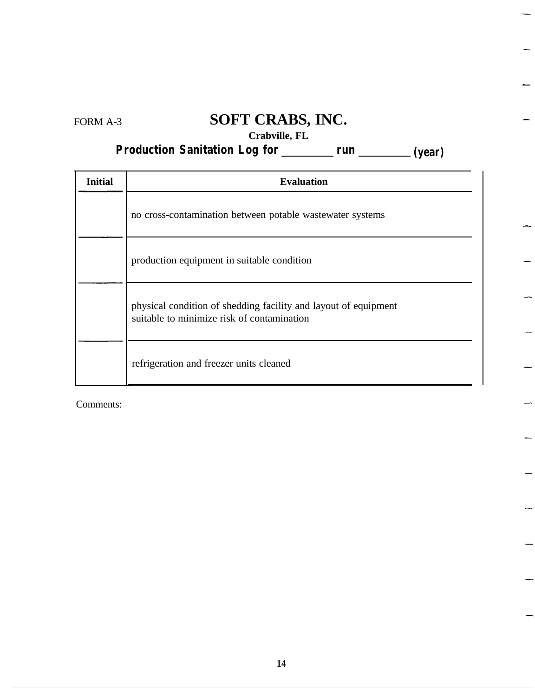FORM A-3

### **SOFT CRABS, INC.**

-

### **Crabville, FL**

### **Production Sanitation Log for run (year)**

| <b>Initial</b> | <b>Evaluation</b>                                                                                             |
|----------------|---------------------------------------------------------------------------------------------------------------|
|                | no cross-contamination between potable wastewater systems                                                     |
|                | production equipment in suitable condition                                                                    |
|                | physical condition of shedding facility and layout of equipment<br>suitable to minimize risk of contamination |
|                | refrigeration and freezer units cleaned                                                                       |

Comments: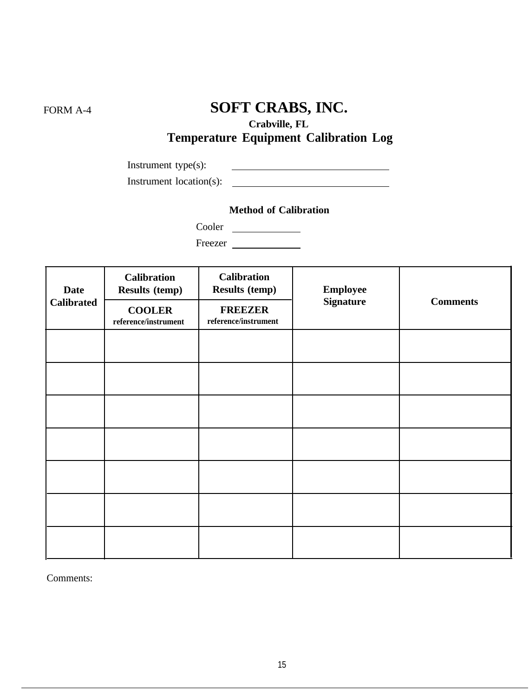## FORM A-4 **SOFT CRABS, INC.**

**Crabville, FL**

### **Temperature Equipment Calibration Log**

Instrument type(s): <u> 2008 - Andrea Albert III, am bhaile an t-Iomraidh ann an t-Iomraidh ann an t-Iomraidh ann an t-Iomraidh ann an </u> Instrument location(s):

#### **Method of Calibration**

Cooler

Freezer

| <b>Date</b><br><b>Calibrated</b> | <b>Calibration</b><br><b>Results (temp)</b><br><b>COOLER</b> | <b>Calibration</b><br><b>Results (temp)</b><br><b>FREEZER</b> | <b>Employee</b><br><b>Signature</b> | <b>Comments</b> |  |
|----------------------------------|--------------------------------------------------------------|---------------------------------------------------------------|-------------------------------------|-----------------|--|
|                                  | reference/instrument                                         | $\rm reference/instrument$                                    |                                     |                 |  |
|                                  |                                                              |                                                               |                                     |                 |  |
|                                  |                                                              |                                                               |                                     |                 |  |
|                                  |                                                              |                                                               |                                     |                 |  |
|                                  |                                                              |                                                               |                                     |                 |  |
|                                  |                                                              |                                                               |                                     |                 |  |
|                                  |                                                              |                                                               |                                     |                 |  |
|                                  |                                                              |                                                               |                                     |                 |  |

Comments: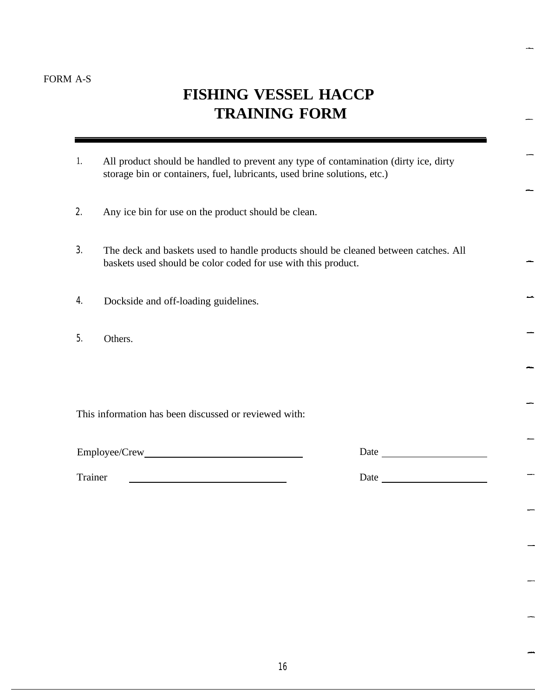### **FISHING VESSEL HACCP TRAINING FORM**

- 1. All product should be handled to prevent any type of contamination (dirty ice, dirty storage bin or containers, fuel, lubricants, used brine solutions, etc.)
- 2. Any ice bin for use on the product should be clean.
- 3. The deck and baskets used to handle products should be cleaned between catches. All baskets used should be color coded for use with this product.
- 4. Dockside and off-loading guidelines.
- 5. Others.

This information has been discussed or reviewed with:

Trainer Date Date Date

Employee/Crew Date Date Date Date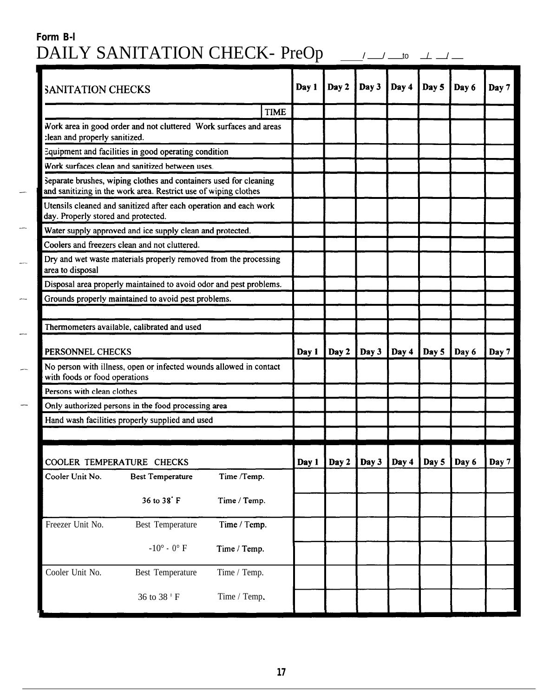### **Form B-l** DAILY SANITATION CHECK- PreOp \_\_\_

 $\frac{1}{\sqrt{1-\frac{1}{1-\frac{1}{1-\frac{1}{1-\frac{1}{1-\frac{1}{1-\frac{1}{1-\frac{1}{1-\frac{1}{1-\frac{1}{1-\frac{1}{1-\frac{1}{1-\frac{1}{1-\frac{1}{1-\frac{1}{1-\frac{1}{1-\frac{1}{1-\frac{1}{1-\frac{1}{1-\frac{1}{1-\frac{1}{1-\frac{1}{1-\frac{1}{1-\frac{1}{1-\frac{1}{1-\frac{1}{1-\frac{1}{1-\frac{1}{1-\frac{1}{1-\frac{1}{1-\frac{1}{1-\frac{1}{1-\frac{1}{1-\frac{1}{1-\frac{1}{1-\frac{1}{1-\$ 

| <b>SANITATION CHECKS</b>                      |                                                                                                                                      |              |             | Day 1 | Day 2 | Day 3 | Day 4 | Day 5 | Day 6     | Day 7                   |
|-----------------------------------------------|--------------------------------------------------------------------------------------------------------------------------------------|--------------|-------------|-------|-------|-------|-------|-------|-----------|-------------------------|
|                                               |                                                                                                                                      |              | <b>TIME</b> |       |       |       |       |       |           |                         |
| :lean and properly sanitized.                 | Work area in good order and not cluttered Work surfaces and areas                                                                    |              |             |       |       |       |       |       |           |                         |
|                                               | Equipment and facilities in good operating condition                                                                                 |              |             |       |       |       |       |       |           |                         |
|                                               | Work surfaces clean and sanitized between uses.                                                                                      |              |             |       |       |       |       |       |           |                         |
|                                               | Separate brushes, wiping clothes and containers used for cleaning<br>and sanitizing in the work area. Restrict use of wiping clothes |              |             |       |       |       |       |       |           |                         |
| day. Properly stored and protected.           | Utensils cleaned and sanitized after each operation and each work                                                                    |              |             |       |       |       |       |       |           |                         |
|                                               | Water supply approved and ice supply clean and protected.                                                                            |              |             |       |       |       |       |       |           |                         |
| Coolers and freezers clean and not cluttered. |                                                                                                                                      |              |             |       |       |       |       |       |           |                         |
| area to disposal                              | Dry and wet waste materials properly removed from the processing                                                                     |              |             |       |       |       |       |       |           |                         |
|                                               | Disposal area properly maintained to avoid odor and pest problems.                                                                   |              |             |       |       |       |       |       |           |                         |
|                                               | Grounds properly maintained to avoid pest problems.                                                                                  |              |             |       |       |       |       |       |           |                         |
|                                               |                                                                                                                                      |              |             |       |       |       |       |       |           |                         |
|                                               | Thermometers available, calibrated and used                                                                                          |              |             |       |       |       |       |       |           |                         |
| PERSONNEL CHECKS                              |                                                                                                                                      |              |             | Day 1 | Day 2 | Day 3 | Day 4 | Day 5 | Day 6     | Day 7                   |
| with foods or food operations                 | No person with illness, open or infected wounds allowed in contact                                                                   |              |             |       |       |       |       |       |           |                         |
| Persons with clean clothes                    |                                                                                                                                      |              |             |       |       |       |       |       |           |                         |
|                                               | Only authorized persons in the food processing area                                                                                  |              |             |       |       |       |       |       |           |                         |
|                                               | Hand wash facilities properly supplied and used                                                                                      |              |             |       |       |       |       |       |           |                         |
|                                               |                                                                                                                                      |              |             |       |       |       |       |       |           |                         |
| COOLER TEMPERATURE CHECKS                     |                                                                                                                                      |              |             | Day 1 | Day 2 | Day J | Day 4 | рау э | i da ya G | $\boldsymbol{\mu}$ ay / |
| Cooler Unit No.                               | <b>Best Temperature</b>                                                                                                              | Time /Temp.  |             |       |       |       |       |       |           |                         |
|                                               | 36 to 38° F                                                                                                                          | Time / Temp. |             |       |       |       |       |       |           |                         |
| Freezer Unit No.                              | <b>Best Temperature</b>                                                                                                              | Time / Temp. |             |       |       |       |       |       |           |                         |
|                                               | $-10^{\circ}$ - $0^{\circ}$ F                                                                                                        | Time / Temp. |             |       |       |       |       |       |           |                         |
| Cooler Unit No.                               | Best Temperature                                                                                                                     | Time / Temp. |             |       |       |       |       |       |           |                         |
|                                               | 36 to 38 °F                                                                                                                          | Time / Temp. |             |       |       |       |       |       |           |                         |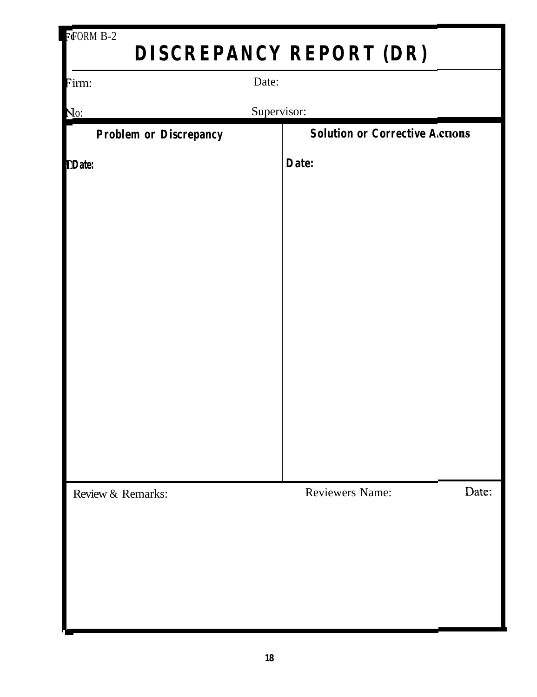| $\overline{F}$ FORM B-2       |                                |                                       |  |  |  |  |
|-------------------------------|--------------------------------|---------------------------------------|--|--|--|--|
|                               | <b>DISCREPANCY REPORT (DR)</b> |                                       |  |  |  |  |
| Firm:                         | Date:                          |                                       |  |  |  |  |
| <u>No:</u>                    | Supervisor:                    |                                       |  |  |  |  |
| <b>Problem or Discrepancy</b> |                                | <b>Solution or Corrective Actions</b> |  |  |  |  |
| <b>DDate:</b>                 | Date:                          |                                       |  |  |  |  |
|                               |                                |                                       |  |  |  |  |
|                               |                                |                                       |  |  |  |  |
|                               |                                |                                       |  |  |  |  |
|                               |                                |                                       |  |  |  |  |
|                               |                                |                                       |  |  |  |  |
|                               |                                |                                       |  |  |  |  |
|                               |                                |                                       |  |  |  |  |
|                               |                                |                                       |  |  |  |  |
|                               |                                |                                       |  |  |  |  |
|                               |                                |                                       |  |  |  |  |
|                               |                                |                                       |  |  |  |  |
| Review & Remarks:             | <b>Reviewers Name:</b>         | Date:                                 |  |  |  |  |
|                               |                                |                                       |  |  |  |  |
|                               |                                |                                       |  |  |  |  |
|                               |                                |                                       |  |  |  |  |
|                               |                                |                                       |  |  |  |  |